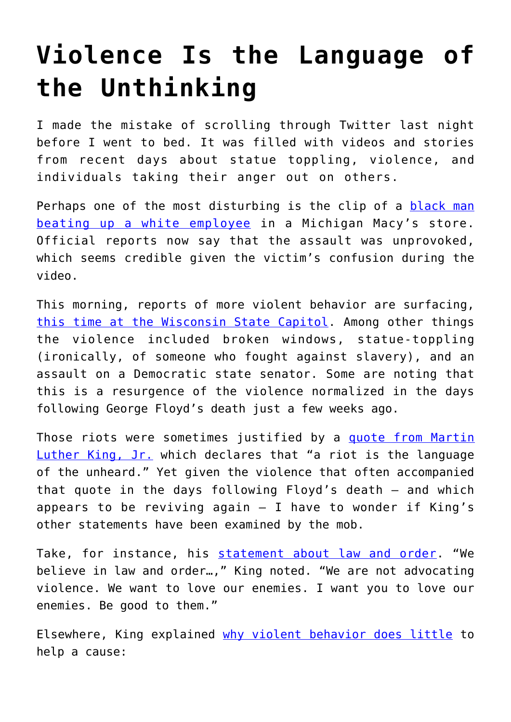## **[Violence Is the Language of](https://intellectualtakeout.org/2020/06/violence-is-the-language-of-the-unthinking/) [the Unthinking](https://intellectualtakeout.org/2020/06/violence-is-the-language-of-the-unthinking/)**

I made the mistake of scrolling through Twitter last night before I went to bed. It was filled with videos and stories from recent days about statue toppling, violence, and individuals taking their anger out on others.

Perhaps one of the most disturbing is the clip of a [black man](https://www.mlive.com/news/flint/2020/06/macys-says-attack-on-employee-in-flint-township-store-was-unprovoked.html) [beating up a white employee](https://www.mlive.com/news/flint/2020/06/macys-says-attack-on-employee-in-flint-township-store-was-unprovoked.html) in a Michigan Macy's store. Official reports now say that the assault was unprovoked, which seems credible given the victim's confusion during the video.

This morning, reports of more violent behavior are surfacing, [this time at the Wisconsin State Capitol.](https://www.usatoday.com/story/news/nation/2020/06/24/madison-protesters-pull-down-statues/3248384001/?fbclid=IwAR33VrI_Y2OLnRk02-1Ndi4tCeJnXnsajK6iNlUXcXFD_tI-d4UvUFNRGL4) Among other things the violence included broken windows, statue-toppling (ironically, of someone who fought against slavery), and an assault on a Democratic state senator. Some are noting that this is a resurgence of the violence normalized in the days following George Floyd's death just a few weeks ago.

Those riots were sometimes justified by a [quote from Martin](https://the-other-america.com/speech) [Luther King, Jr.](https://the-other-america.com/speech) which declares that "a riot is the language of the unheard." Yet given the violence that often accompanied that quote in the days following Floyd's death – and which appears to be reviving again  $-$  I have to wonder if King's other statements have been examined by the mob.

Take, for instance, his [statement about law and order.](https://books.google.com/books?id=4ysIWgsSr9AC&printsec=frontcover#v=onepage&q&f=false) "We believe in law and order…," King noted. "We are not advocating violence. We want to love our enemies. I want you to love our enemies. Be good to them."

Elsewhere, King explained [why violent behavior does little](https://kinginstitute.stanford.edu/king-papers/documents/most-durable-power-excerpt-sermon-dexter-avenue-baptist-church-6-november-1956) to help a cause: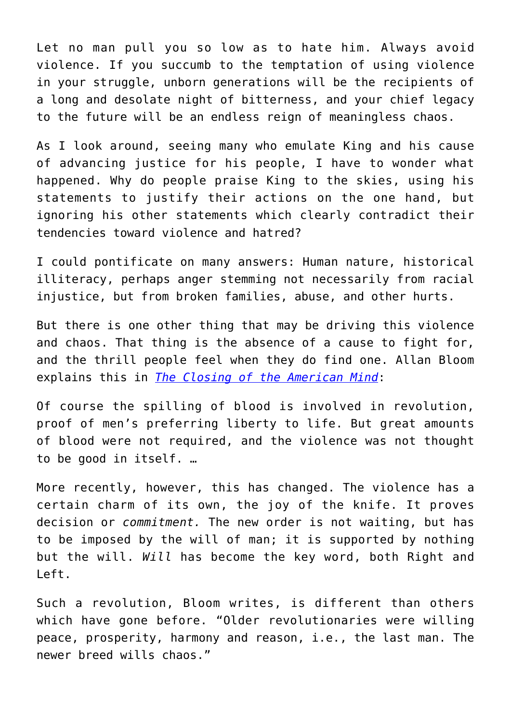Let no man pull you so low as to hate him. Always avoid violence. If you succumb to the temptation of using violence in your struggle, unborn generations will be the recipients of a long and desolate night of bitterness, and your chief legacy to the future will be an endless reign of meaningless chaos.

As I look around, seeing many who emulate King and his cause of advancing justice for his people, I have to wonder what happened. Why do people praise King to the skies, using his statements to justify their actions on the one hand, but ignoring his other statements which clearly contradict their tendencies toward violence and hatred?

I could pontificate on many answers: Human nature, historical illiteracy, perhaps anger stemming not necessarily from racial injustice, but from broken families, abuse, and other hurts.

But there is one other thing that may be driving this violence and chaos. That thing is the absence of a cause to fight for, and the thrill people feel when they do find one. Allan Bloom explains this in *[The Closing of the American Mind](https://www.amazon.com/gp/product/1451683200/ref=as_li_qf_asin_il_tl?ie=UTF8&tag=intelltakeo0d-20&creative=9325&linkCode=as2&creativeASIN=1451683200&linkId=c80a557241cc04d23b707c3961ab62d4)*:

Of course the spilling of blood is involved in revolution, proof of men's preferring liberty to life. But great amounts of blood were not required, and the violence was not thought to be good in itself. …

More recently, however, this has changed. The violence has a certain charm of its own, the joy of the knife. It proves decision or *commitment.* The new order is not waiting, but has to be imposed by the will of man; it is supported by nothing but the will. *Will* has become the key word, both Right and Left.

Such a revolution, Bloom writes, is different than others which have gone before. "Older revolutionaries were willing peace, prosperity, harmony and reason, i.e., the last man. The newer breed wills chaos."